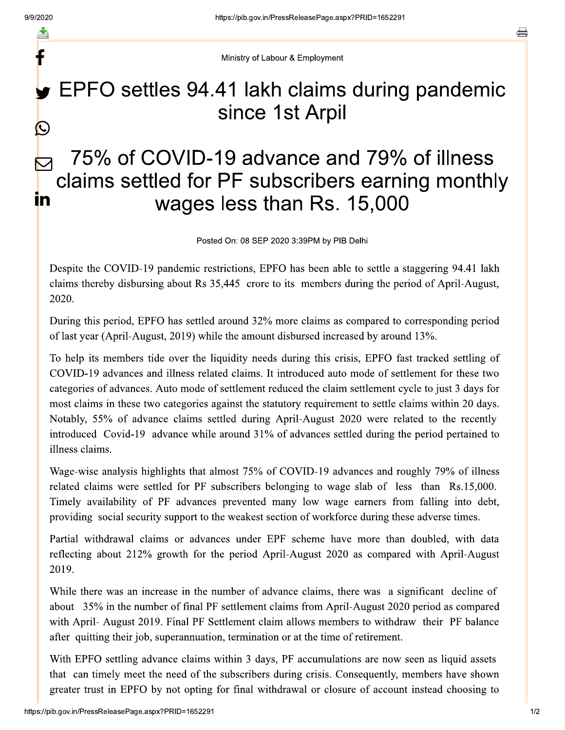F

Ministry of Labour & Employment

## EPFO settles 94.41 lakh claims during pandemic since 1st Arpil  $\bigcirc$

## 75% of COVID-19 advance and 79% of illness claims settled for PF subscribers earning monthly **in** wages less than Rs. 15,000

Posted On: 08 SEP 2020 3:39PM by PIB Delhi

Despite the COVID-19 pandemic restrictions, EPFO has been able to settle a staggering 94.41 lakh claims thereby disbursing about Rs 35,445 crore to its members during the period of April-August, 2020.

During this period, EPFO has settled around 32% more claims as compared to corresponding period of last year (April-August, 2019) while the amount disbursed increased by around 13%.

To help its members tide over the liquidity needs during this crisis, EPFO fast tracked settling of COVID-19 advances and illness related claims. It introduced auto mode of settlement for these two categories of advances. Auto mode of settlement reduced the claim settlement cycle to just 3 days for most claims in these two categories against the statutory requirement to settle claims within 20 days. Notably, 55% of advance claims settled during April-August 2020 were related to the recently introduced Covid-19 advance while around 31% of advances settled during the period pertained to illness claims.

Wage-wise analysis highlights that almost 75% of COVID-19 advances and roughly 79% of illness related claims were settled for PF subscribers belonging to wage slab of less than Rs.15,000. Timely availability of PF advances prevented many low wage earners from falling into debt, providing social security support to the weakest section of workforce during these adverse times.

Partial withdrawal claims or advances under EPF scheme have more than doubled, with data reflecting about 212% growth for the period April-August 2020 as compared with April-August 2019.

While there was an increase in the number of advance claims, there was a significant decline of about 35% in the number of final PF settlement claims from April-August 2020 period as compared with April- August 2019. Final PF Settlement claim allows members to withdraw their PF balance after quitting their job, superannuation, termination or at the time of retirement.

With EPFO settling advance claims within 3 days, PF accumulations are now seen as liquid assets that can timely meet the need of the subscribers during crisis. Consequently, members have shown greater trust in EPFO by not opting for final withdrawal or closure of account instead choosing to